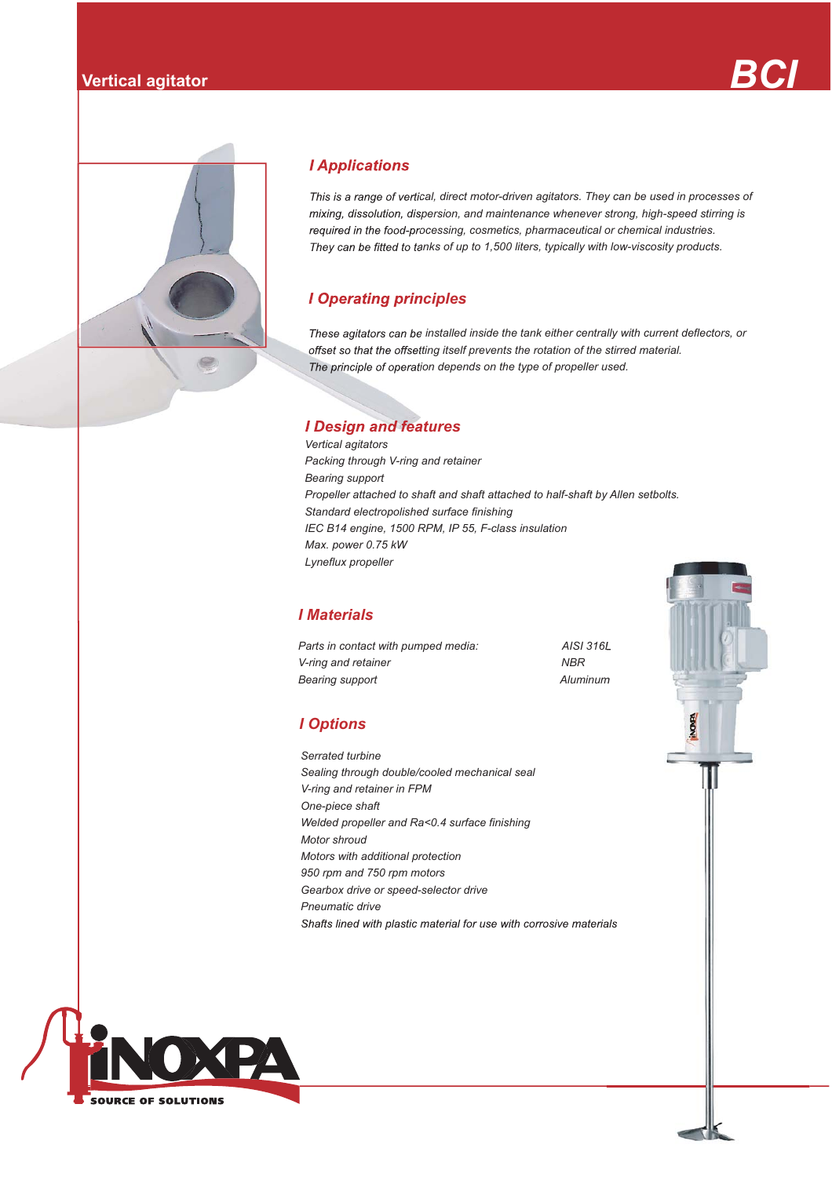



## **I Applications**

*cal, direct motor-driven agitators. They can be used in processes of*  mixing, dissolution, dispersion, and maintenance whenever strong, high-speed stirring is required in the food-processing, cosmetics, pharmaceutical or chemical industries. They can be fitted to tanks of up to 1,500 liters, typically with low-viscosity products.

# *<i>I* Operating principles

These agitators can be installed inside the tank either centrally with current deflectors, or offset so that the offsetting itself prevents the rotation of the stirred material. The principle of operation depends on the type of propeller used.

# *I Design and features*

 *Max. power 0.75 kW Vertical agitators Packing through V-ring and retainer Bearing support Propeller attached to shaft and shaft attached to half-shaft by Allen setbolts. Standard electropolished surface finishing IEC B14 engine, 1500 RPM, IP 55, F-class insulation Lyneflux propeller*

## *I Materials*

*Parts in contact with pumped media: AISI 316L V-ring and retainer* NBR *Bearing support Aluminum*

## *I Options*

 *Pneumatic driveSerrated turbine Sealing through double/cooled mechanical seal V-ring and retainer in FPM One-piece shaft Welded propeller and Ra<0.4 surface finishing Motor shroud Motors with additional protection 950 rpm and 750 rpm motors Gearbox drive or speed-selector drive*